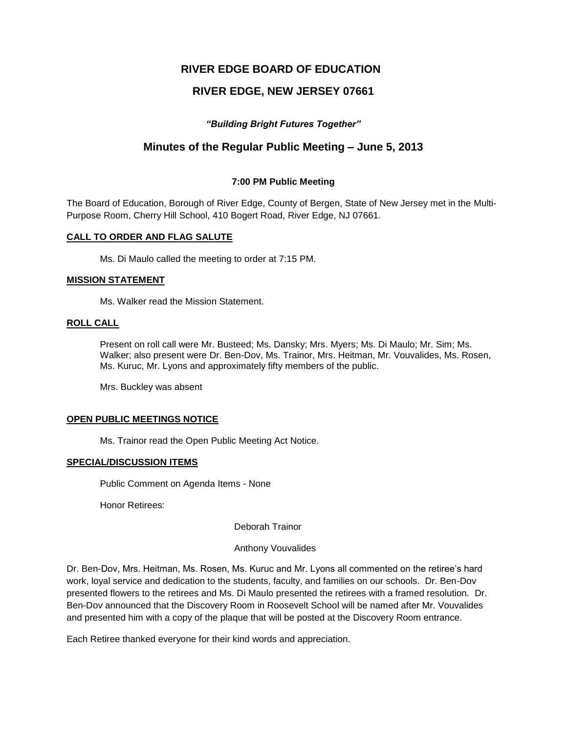# **RIVER EDGE BOARD OF EDUCATION**

# **RIVER EDGE, NEW JERSEY 07661**

## *"Building Bright Futures Together"*

# **Minutes of the Regular Public Meeting – June 5, 2013**

## **7:00 PM Public Meeting**

The Board of Education, Borough of River Edge, County of Bergen, State of New Jersey met in the Multi-Purpose Room, Cherry Hill School, 410 Bogert Road, River Edge, NJ 07661.

## **CALL TO ORDER AND FLAG SALUTE**

Ms. Di Maulo called the meeting to order at 7:15 PM.

## **MISSION STATEMENT**

Ms. Walker read the Mission Statement.

## **ROLL CALL**

Present on roll call were Mr. Busteed; Ms. Dansky; Mrs. Myers; Ms. Di Maulo; Mr. Sim; Ms. Walker; also present were Dr. Ben-Dov, Ms. Trainor, Mrs. Heitman, Mr. Vouvalides, Ms. Rosen, Ms. Kuruc, Mr. Lyons and approximately fifty members of the public.

Mrs. Buckley was absent

## **OPEN PUBLIC MEETINGS NOTICE**

Ms. Trainor read the Open Public Meeting Act Notice.

## **SPECIAL/DISCUSSION ITEMS**

Public Comment on Agenda Items - None

Honor Retirees:

Deborah Trainor

## Anthony Vouvalides

Dr. Ben-Dov, Mrs. Heitman, Ms. Rosen, Ms. Kuruc and Mr. Lyons all commented on the retiree's hard work, loyal service and dedication to the students, faculty, and families on our schools. Dr. Ben-Dov presented flowers to the retirees and Ms. Di Maulo presented the retirees with a framed resolution. Dr. Ben-Dov announced that the Discovery Room in Roosevelt School will be named after Mr. Vouvalides and presented him with a copy of the plaque that will be posted at the Discovery Room entrance.

Each Retiree thanked everyone for their kind words and appreciation.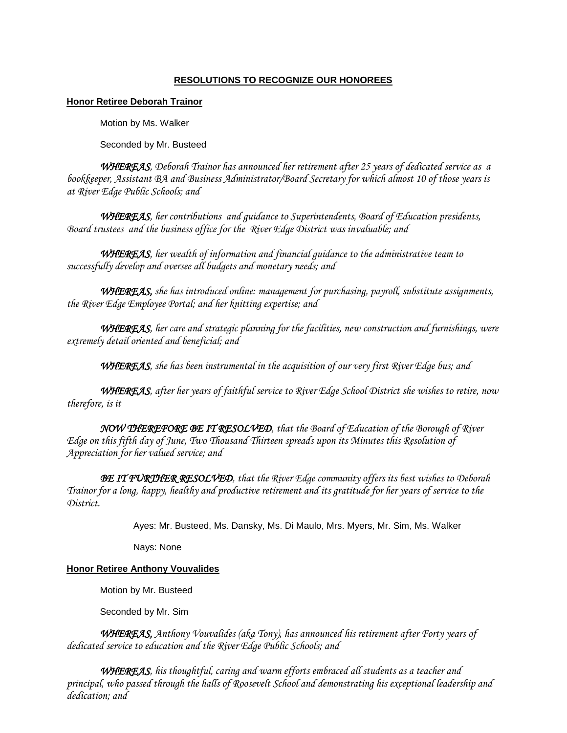## **RESOLUTIONS TO RECOGNIZE OUR HONOREES**

## **Honor Retiree Deborah Trainor**

Motion by Ms. Walker

Seconded by Mr. Busteed

*WHEREAS, Deborah Trainor has announced her retirement after 25 years of dedicated service as a bookkeeper, Assistant BA and Business Administrator/Board Secretary for which almost 10 of those years is at River Edge Public Schools; and*

*WHEREAS, her contributions and guidance to Superintendents, Board of Education presidents, Board trustees and the business office for the River Edge District was invaluable; and*

*WHEREAS, her wealth of information and financial guidance to the administrative team to successfully develop and oversee all budgets and monetary needs; and*

*WHEREAS, she has introduced online: management for purchasing, payroll, substitute assignments, the River Edge Employee Portal; and her knitting expertise; and*

*WHEREAS, her care and strategic planning for the facilities, new construction and furnishings, were extremely detail oriented and beneficial; and*

*WHEREAS, she has been instrumental in the acquisition of our very first River Edge bus; and*

*WHEREAS, after her years of faithful service to River Edge School District she wishes to retire, now therefore, is it*

*NOW THEREFORE BE IT RESOLVED, that the Board of Education of the Borough of River Edge on this fifth day of June, Two Thousand Thirteen spreads upon its Minutes this Resolution of Appreciation for her valued service; and*

*BE IT FURTHER RESOLVED, that the River Edge community offers its best wishes to Deborah Trainor for a long, happy, healthy and productive retirement and its gratitude for her years of service to the District.* 

Ayes: Mr. Busteed, Ms. Dansky, Ms. Di Maulo, Mrs. Myers, Mr. Sim, Ms. Walker

Nays: None

## **Honor Retiree Anthony Vouvalides**

Motion by Mr. Busteed

Seconded by Mr. Sim

 *WHEREAS, Anthony Vouvalides (aka Tony), has announced his retirement after Forty years of dedicated service to education and the River Edge Public Schools; and* 

*WHEREAS, his thoughtful, caring and warm efforts embraced all students as a teacher and principal, who passed through the halls of Roosevelt School and demonstrating his exceptional leadership and dedication; and*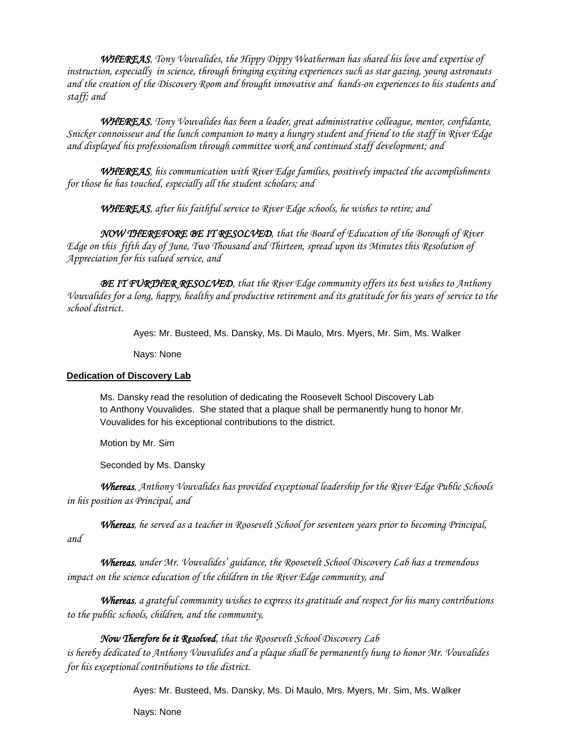*WHEREAS, Tony Vouvalides, the Hippy Dippy Weatherman has shared his love and expertise of instruction, especially in science, through bringing exciting experiences such as star gazing, young astronauts and the creation of the Discovery Room and brought innovative and hands-on experiences to his students and staff; and* 

*WHEREAS, Tony Vouvalides has been a leader, great administrative colleague, mentor, confidante, Snicker connoisseur and the lunch companion to many a hungry student and friend to the staff in River Edge and displayed his professionalism through committee work and continued staff development; and*

*WHEREAS, his communication with River Edge families, positively impacted the accomplishments for those he has touched, especially all the student scholars; and*

*WHEREAS, after his faithful service to River Edge schools, he wishes to retire; and*

*NOW THEREFORE BE IT RESOLVED, that the Board of Education of the Borough of River Edge on this fifth day of June, Two Thousand and Thirteen, spread upon its Minutes this Resolution of Appreciation for his valued service, and*

*BE IT FURTHER RESOLVED, that the River Edge community offers its best wishes to Anthony Vouvalides for a long, happy, healthy and productive retirement and its gratitude for his years of service to the school district.*

Ayes: Mr. Busteed, Ms. Dansky, Ms. Di Maulo, Mrs. Myers, Mr. Sim, Ms. Walker

Nays: None

## **Dedication of Discovery Lab**

Ms. Dansky read the resolution of dedicating the Roosevelt School Discovery Lab to Anthony Vouvalides. She stated that a plaque shall be permanently hung to honor Mr. Vouvalides for his exceptional contributions to the district.

Motion by Mr. Sim

Seconded by Ms. Dansky

*Whereas, Anthony Vouvalides has provided exceptional leadership for the River Edge Public Schools in his position as Principal, and*

*Whereas, he served as a teacher in Roosevelt School for seventeen years prior to becoming Principal, and*

 *Whereas, under Mr. Vouvalides' guidance, the Roosevelt School Discovery Lab has a tremendous impact on the science education of the children in the River Edge community, and*

*Whereas, a grateful community wishes to express its gratitude and respect for his many contributions to the public schools, children, and the community,*

## *Now Therefore be it Resolved, that the Roosevelt School Discovery Lab*

*is hereby dedicated to Anthony Vouvalides and a plaque shall be permanently hung to honor Mr. Vouvalides for his exceptional contributions to the district.*

Ayes: Mr. Busteed, Ms. Dansky, Ms. Di Maulo, Mrs. Myers, Mr. Sim, Ms. Walker

Nays: None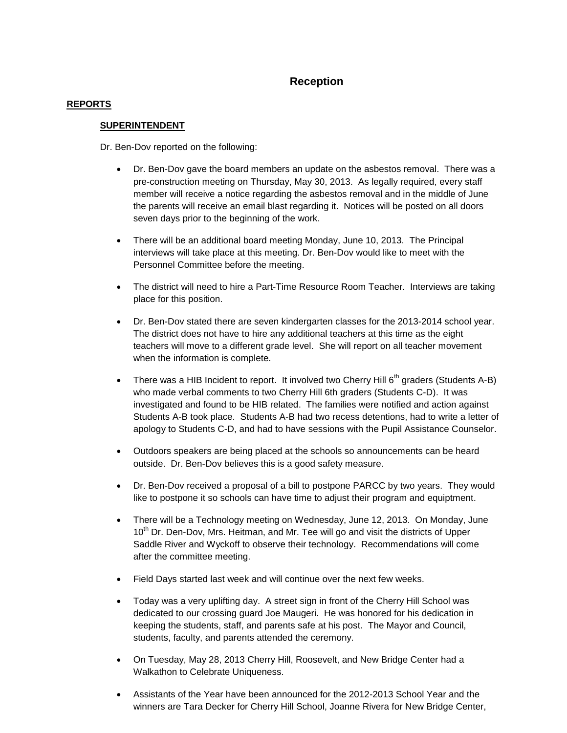# **Reception**

## **REPORTS**

## **SUPERINTENDENT**

Dr. Ben-Dov reported on the following:

- Dr. Ben-Dov gave the board members an update on the asbestos removal. There was a pre-construction meeting on Thursday, May 30, 2013. As legally required, every staff member will receive a notice regarding the asbestos removal and in the middle of June the parents will receive an email blast regarding it. Notices will be posted on all doors seven days prior to the beginning of the work.
- There will be an additional board meeting Monday, June 10, 2013. The Principal interviews will take place at this meeting. Dr. Ben-Dov would like to meet with the Personnel Committee before the meeting.
- The district will need to hire a Part-Time Resource Room Teacher. Interviews are taking place for this position.
- Dr. Ben-Dov stated there are seven kindergarten classes for the 2013-2014 school year. The district does not have to hire any additional teachers at this time as the eight teachers will move to a different grade level. She will report on all teacher movement when the information is complete.
- There was a HIB Incident to report. It involved two Cherry Hill  $6<sup>th</sup>$  graders (Students A-B) who made verbal comments to two Cherry Hill 6th graders (Students C-D). It was investigated and found to be HIB related. The families were notified and action against Students A-B took place. Students A-B had two recess detentions, had to write a letter of apology to Students C-D, and had to have sessions with the Pupil Assistance Counselor.
- Outdoors speakers are being placed at the schools so announcements can be heard outside. Dr. Ben-Dov believes this is a good safety measure.
- Dr. Ben-Dov received a proposal of a bill to postpone PARCC by two years. They would like to postpone it so schools can have time to adjust their program and equiptment.
- There will be a Technology meeting on Wednesday, June 12, 2013. On Monday, June 10<sup>th</sup> Dr. Den-Dov, Mrs. Heitman, and Mr. Tee will go and visit the districts of Upper Saddle River and Wyckoff to observe their technology. Recommendations will come after the committee meeting.
- Field Days started last week and will continue over the next few weeks.
- Today was a very uplifting day. A street sign in front of the Cherry Hill School was dedicated to our crossing guard Joe Maugeri. He was honored for his dedication in keeping the students, staff, and parents safe at his post. The Mayor and Council, students, faculty, and parents attended the ceremony.
- On Tuesday, May 28, 2013 Cherry Hill, Roosevelt, and New Bridge Center had a Walkathon to Celebrate Uniqueness.
- Assistants of the Year have been announced for the 2012-2013 School Year and the winners are Tara Decker for Cherry Hill School, Joanne Rivera for New Bridge Center,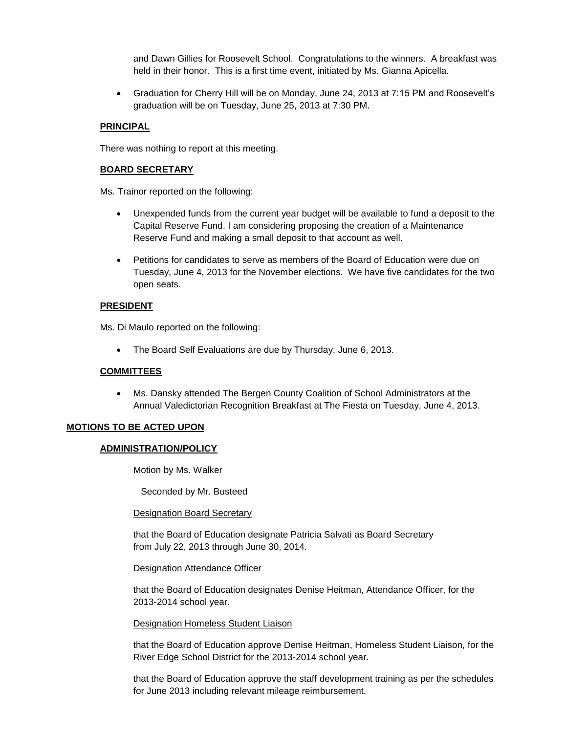and Dawn Gillies for Roosevelt School. Congratulations to the winners. A breakfast was held in their honor. This is a first time event, initiated by Ms. Gianna Apicella.

 Graduation for Cherry Hill will be on Monday, June 24, 2013 at 7:15 PM and Roosevelt's graduation will be on Tuesday, June 25, 2013 at 7:30 PM.

## **PRINCIPAL**

There was nothing to report at this meeting.

## **BOARD SECRETARY**

Ms. Trainor reported on the following:

- Unexpended funds from the current year budget will be available to fund a deposit to the Capital Reserve Fund. I am considering proposing the creation of a Maintenance Reserve Fund and making a small deposit to that account as well.
- Petitions for candidates to serve as members of the Board of Education were due on Tuesday, June 4, 2013 for the November elections. We have five candidates for the two open seats.

## **PRESIDENT**

Ms. Di Maulo reported on the following:

• The Board Self Evaluations are due by Thursday, June 6, 2013.

## **COMMITTEES**

 Ms. Dansky attended The Bergen County Coalition of School Administrators at the Annual Valedictorian Recognition Breakfast at The Fiesta on Tuesday, June 4, 2013.

## **MOTIONS TO BE ACTED UPON**

## **ADMINISTRATION/POLICY**

Motion by Ms. Walker

Seconded by Mr. Busteed

## Designation Board Secretary

that the Board of Education designate Patricia Salvati as Board Secretary from July 22, 2013 through June 30, 2014.

## Designation Attendance Officer

that the Board of Education designates Denise Heitman, Attendance Officer, for the 2013-2014 school year.

## Designation Homeless Student Liaison

that the Board of Education approve Denise Heitman, Homeless Student Liaison, for the River Edge School District for the 2013-2014 school year.

that the Board of Education approve the staff development training as per the schedules for June 2013 including relevant mileage reimbursement.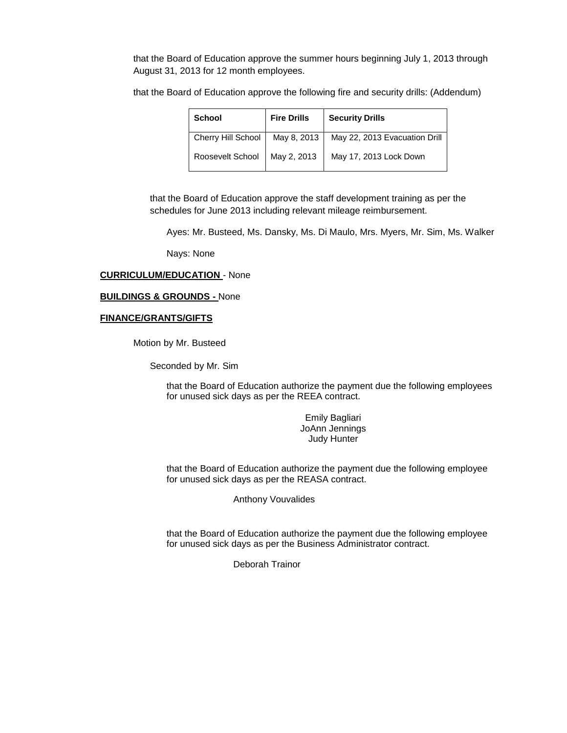that the Board of Education approve the summer hours beginning July 1, 2013 through August 31, 2013 for 12 month employees.

that the Board of Education approve the following fire and security drills: (Addendum)

| <b>School</b>      | <b>Fire Drills</b> | <b>Security Drills</b>        |
|--------------------|--------------------|-------------------------------|
| Cherry Hill School | May 8, 2013        | May 22, 2013 Evacuation Drill |
| Roosevelt School   | May 2, 2013        | May 17, 2013 Lock Down        |

that the Board of Education approve the staff development training as per the schedules for June 2013 including relevant mileage reimbursement.

Ayes: Mr. Busteed, Ms. Dansky, Ms. Di Maulo, Mrs. Myers, Mr. Sim, Ms. Walker

Nays: None

#### **CURRICULUM/EDUCATION** - None

#### **BUILDINGS & GROUNDS -** None

#### **FINANCE/GRANTS/GIFTS**

Motion by Mr. Busteed

Seconded by Mr. Sim

that the Board of Education authorize the payment due the following employees for unused sick days as per the REEA contract.

> Emily Bagliari JoAnn Jennings Judy Hunter

that the Board of Education authorize the payment due the following employee for unused sick days as per the REASA contract.

Anthony Vouvalides

that the Board of Education authorize the payment due the following employee for unused sick days as per the Business Administrator contract.

Deborah Trainor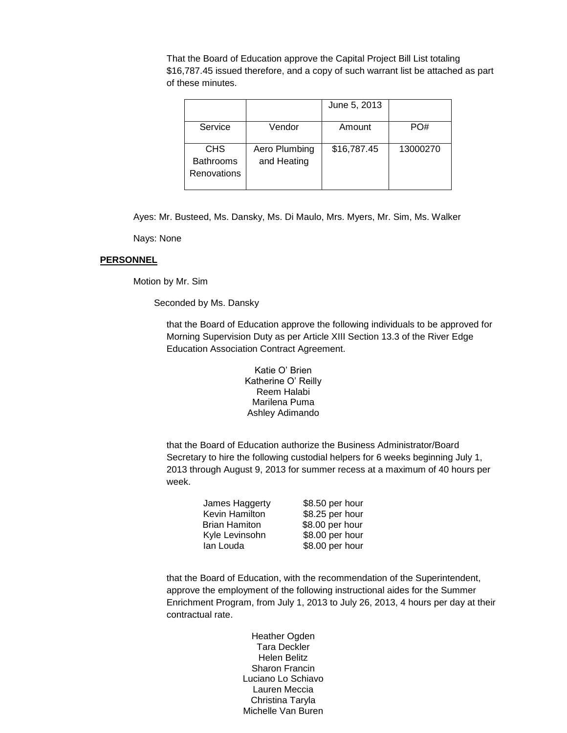That the Board of Education approve the Capital Project Bill List totaling \$16,787.45 issued therefore, and a copy of such warrant list be attached as part of these minutes.

|                                               |                              | June 5, 2013 |          |
|-----------------------------------------------|------------------------------|--------------|----------|
| Service                                       | Vendor                       | Amount       | PO#      |
| <b>CHS</b><br><b>Bathrooms</b><br>Renovations | Aero Plumbing<br>and Heating | \$16,787.45  | 13000270 |

Ayes: Mr. Busteed, Ms. Dansky, Ms. Di Maulo, Mrs. Myers, Mr. Sim, Ms. Walker

Nays: None

## **PERSONNEL**

Motion by Mr. Sim

Seconded by Ms. Dansky

that the Board of Education approve the following individuals to be approved for Morning Supervision Duty as per Article XIII Section 13.3 of the River Edge Education Association Contract Agreement.

> Katie O' Brien Katherine O' Reilly Reem Halabi Marilena Puma Ashley Adimando

that the Board of Education authorize the Business Administrator/Board Secretary to hire the following custodial helpers for 6 weeks beginning July 1, 2013 through August 9, 2013 for summer recess at a maximum of 40 hours per week.

| James Haggerty       | \$8.50 per hour |
|----------------------|-----------------|
| Kevin Hamilton       | \$8.25 per hour |
| <b>Brian Hamiton</b> | \$8.00 per hour |
| Kyle Levinsohn       | \$8.00 per hour |
| lan Louda            | \$8.00 per hour |

that the Board of Education, with the recommendation of the Superintendent, approve the employment of the following instructional aides for the Summer Enrichment Program, from July 1, 2013 to July 26, 2013, 4 hours per day at their contractual rate.

> Heather Ogden Tara Deckler Helen Belitz Sharon Francin Luciano Lo Schiavo Lauren Meccia Christina Taryla Michelle Van Buren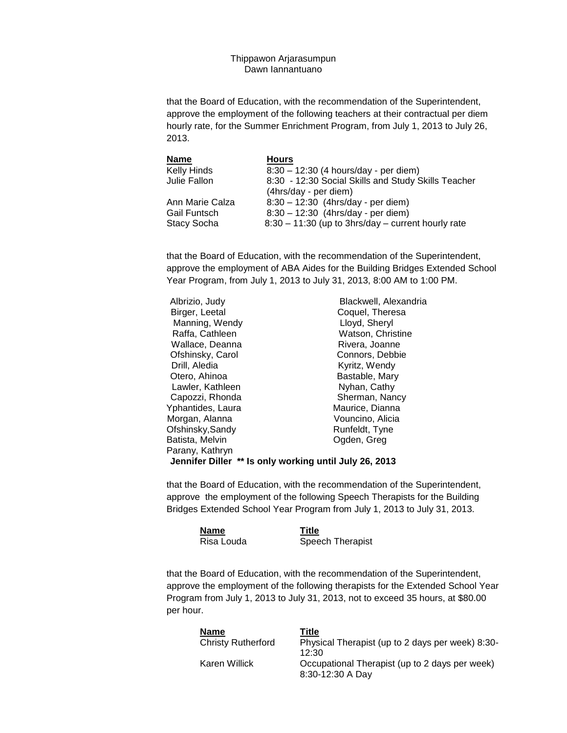Thippawon Arjarasumpun Dawn Iannantuano

that the Board of Education, with the recommendation of the Superintendent, approve the employment of the following teachers at their contractual per diem hourly rate, for the Summer Enrichment Program, from July 1, 2013 to July 26, 2013.

| <b>Name</b>        | <b>Hours</b>                                         |
|--------------------|------------------------------------------------------|
| <b>Kelly Hinds</b> | 8:30 - 12:30 (4 hours/day - per diem)                |
| Julie Fallon       | 8:30 - 12:30 Social Skills and Study Skills Teacher  |
|                    | (4hrs/day - per diem)                                |
| Ann Marie Calza    | $8:30 - 12:30$ (4hrs/day - per diem)                 |
| Gail Funtsch       | 8:30 - 12:30 (4hrs/day - per diem)                   |
| <b>Stacy Socha</b> | $8:30 - 11:30$ (up to 3hrs/day – current hourly rate |

that the Board of Education, with the recommendation of the Superintendent, approve the employment of ABA Aides for the Building Bridges Extended School Year Program, from July 1, 2013 to July 31, 2013, 8:00 AM to 1:00 PM.

| Albrizio, Judy                                         | Blackwell, Alexandria |
|--------------------------------------------------------|-----------------------|
| Birger, Leetal                                         | Coquel, Theresa       |
| Manning, Wendy                                         | Lloyd, Sheryl         |
| Raffa, Cathleen                                        | Watson, Christine     |
| Wallace, Deanna                                        | Rivera, Joanne        |
| Ofshinsky, Carol                                       | Connors, Debbie       |
| Drill, Aledia                                          | Kyritz, Wendy         |
| Otero, Ahinoa                                          | Bastable, Mary        |
| Lawler, Kathleen                                       | Nyhan, Cathy          |
| Capozzi, Rhonda                                        | Sherman, Nancy        |
| Yphantides, Laura                                      | Maurice, Dianna       |
| Morgan, Alanna                                         | Vouncino, Alicia      |
| Ofshinsky, Sandy                                       | Runfeldt, Tyne        |
| Batista, Melvin                                        | Ogden, Greg           |
| Parany, Kathryn                                        |                       |
| Jennifer Diller ** Is only working until July 26, 2013 |                       |

that the Board of Education, with the recommendation of the Superintendent, approve the employment of the following Speech Therapists for the Building Bridges Extended School Year Program from July 1, 2013 to July 31, 2013.

| <b>Name</b> | Title            |
|-------------|------------------|
| Risa Louda  | Speech Therapist |

that the Board of Education, with the recommendation of the Superintendent, approve the employment of the following therapists for the Extended School Year Program from July 1, 2013 to July 31, 2013, not to exceed 35 hours, at \$80.00 per hour.

| Name                      | Title                                                              |
|---------------------------|--------------------------------------------------------------------|
| <b>Christy Rutherford</b> | Physical Therapist (up to 2 days per week) 8:30-<br>12:30          |
| Karen Willick             | Occupational Therapist (up to 2 days per week)<br>8:30-12:30 A Day |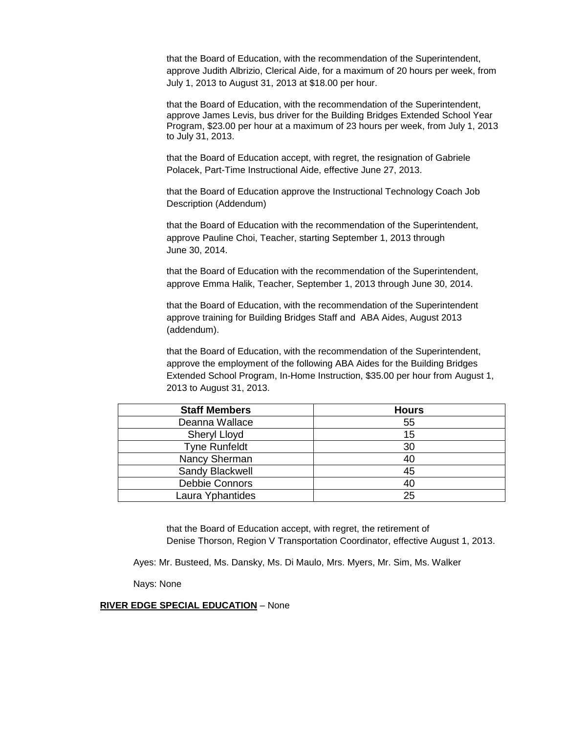that the Board of Education, with the recommendation of the Superintendent, approve Judith Albrizio, Clerical Aide, for a maximum of 20 hours per week, from July 1, 2013 to August 31, 2013 at \$18.00 per hour.

that the Board of Education, with the recommendation of the Superintendent, approve James Levis, bus driver for the Building Bridges Extended School Year Program, \$23.00 per hour at a maximum of 23 hours per week, from July 1, 2013 to July 31, 2013.

that the Board of Education accept, with regret, the resignation of Gabriele Polacek, Part-Time Instructional Aide, effective June 27, 2013.

that the Board of Education approve the Instructional Technology Coach Job Description (Addendum)

that the Board of Education with the recommendation of the Superintendent, approve Pauline Choi, Teacher, starting September 1, 2013 through June 30, 2014.

that the Board of Education with the recommendation of the Superintendent, approve Emma Halik, Teacher, September 1, 2013 through June 30, 2014.

that the Board of Education, with the recommendation of the Superintendent approve training for Building Bridges Staff and ABA Aides, August 2013 (addendum).

that the Board of Education, with the recommendation of the Superintendent, approve the employment of the following ABA Aides for the Building Bridges Extended School Program, In-Home Instruction, \$35.00 per hour from August 1, 2013 to August 31, 2013.

| <b>Staff Members</b> | <b>Hours</b> |
|----------------------|--------------|
| Deanna Wallace       | 55           |
| Sheryl Lloyd         | 15           |
| <b>Tyne Runfeldt</b> | 30           |
| Nancy Sherman        | 40           |
| Sandy Blackwell      | 45           |
| Debbie Connors       | 40           |
| Laura Yphantides     | 25           |

that the Board of Education accept, with regret, the retirement of Denise Thorson, Region V Transportation Coordinator, effective August 1, 2013.

Ayes: Mr. Busteed, Ms. Dansky, Ms. Di Maulo, Mrs. Myers, Mr. Sim, Ms. Walker

Nays: None

## **RIVER EDGE SPECIAL EDUCATION** – None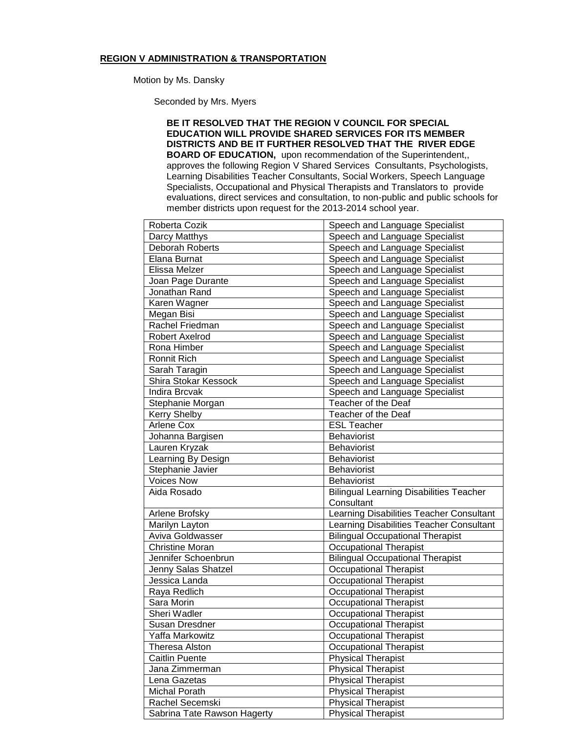#### **REGION V ADMINISTRATION & TRANSPORTATION**

Motion by Ms. Dansky

Seconded by Mrs. Myers

**BE IT RESOLVED THAT THE REGION V COUNCIL FOR SPECIAL EDUCATION WILL PROVIDE SHARED SERVICES FOR ITS MEMBER DISTRICTS AND BE IT FURTHER RESOLVED THAT THE RIVER EDGE BOARD OF EDUCATION,** upon recommendation of the Superintendent,, approves the following Region V Shared Services Consultants, Psychologists, Learning Disabilities Teacher Consultants, Social Workers, Speech Language Specialists, Occupational and Physical Therapists and Translators to provide evaluations, direct services and consultation, to non-public and public schools for member districts upon request for the 2013-2014 school year.

| Roberta Cozik               | Speech and Language Specialist                 |
|-----------------------------|------------------------------------------------|
| Darcy Matthys               | Speech and Language Specialist                 |
| <b>Deborah Roberts</b>      | Speech and Language Specialist                 |
| Elana Burnat                | Speech and Language Specialist                 |
| Elissa Melzer               | Speech and Language Specialist                 |
| Joan Page Durante           | Speech and Language Specialist                 |
| Jonathan Rand               | Speech and Language Specialist                 |
| Karen Wagner                | Speech and Language Specialist                 |
| Megan Bisi                  | Speech and Language Specialist                 |
| Rachel Friedman             | Speech and Language Specialist                 |
| Robert Axelrod              | Speech and Language Specialist                 |
| Rona Himber                 | Speech and Language Specialist                 |
| Ronnit Rich                 | Speech and Language Specialist                 |
| Sarah Taragin               | Speech and Language Specialist                 |
| Shira Stokar Kessock        | Speech and Language Specialist                 |
| <b>Indira Brcvak</b>        | Speech and Language Specialist                 |
| Stephanie Morgan            | Teacher of the Deaf                            |
| Kerry Shelby                | Teacher of the Deaf                            |
| Arlene Cox                  | <b>ESL Teacher</b>                             |
| Johanna Bargisen            | Behaviorist                                    |
| Lauren Kryzak               | Behaviorist                                    |
| Learning By Design          | Behaviorist                                    |
| Stephanie Javier            | Behaviorist                                    |
| <b>Voices Now</b>           | Behaviorist                                    |
| Aida Rosado                 | <b>Bilingual Learning Disabilities Teacher</b> |
|                             | Consultant                                     |
| Arlene Brofsky              | Learning Disabilities Teacher Consultant       |
| Marilyn Layton              | Learning Disabilities Teacher Consultant       |
| Aviva Goldwasser            | <b>Bilingual Occupational Therapist</b>        |
| <b>Christine Moran</b>      | <b>Occupational Therapist</b>                  |
| Jennifer Schoenbrun         | <b>Bilingual Occupational Therapist</b>        |
| Jenny Salas Shatzel         | <b>Occupational Therapist</b>                  |
| Jessica Landa               | <b>Occupational Therapist</b>                  |
| Raya Redlich                | <b>Occupational Therapist</b>                  |
| Sara Morin                  | <b>Occupational Therapist</b>                  |
| Sheri Wadler                | <b>Occupational Therapist</b>                  |
| Susan Dresdner              | <b>Occupational Therapist</b>                  |
| Yaffa Markowitz             | <b>Occupational Therapist</b>                  |
| <b>Theresa Alston</b>       | <b>Occupational Therapist</b>                  |
| <b>Caitlin Puente</b>       | Physical Therapist                             |
| Jana Zimmerman              | <b>Physical Therapist</b>                      |
| Lena Gazetas                | <b>Physical Therapist</b>                      |
| Michal Porath               | <b>Physical Therapist</b>                      |
| Rachel Secemski             | <b>Physical Therapist</b>                      |
| Sabrina Tate Rawson Hagerty | <b>Physical Therapist</b>                      |